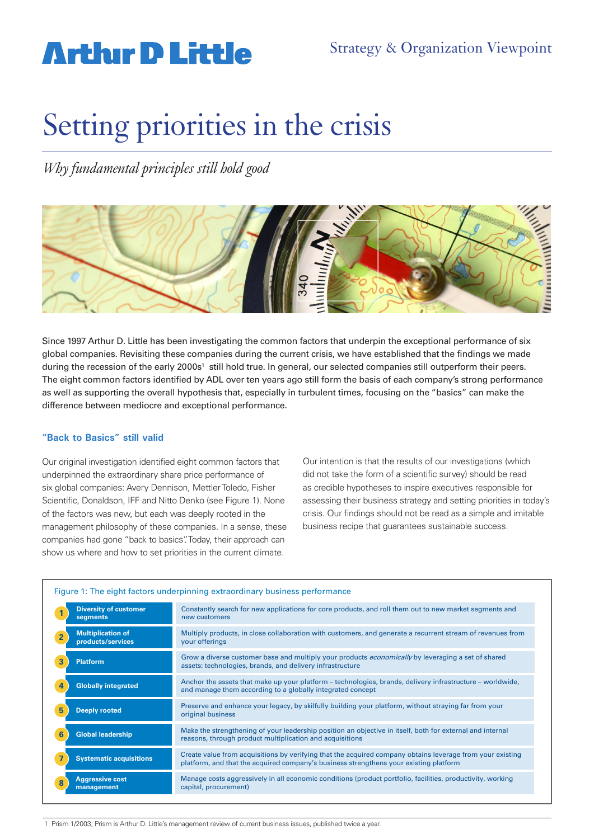# **Arthur D Little**

# Setting priorities in the crisis

*Why fundamental principles still hold good* 



Since 1997 Arthur D. Little has been investigating the common factors that underpin the exceptional performance of six global companies. Revisiting these companies during the current crisis, we have established that the findings we made during the recession of the early 2000s<sup>1</sup> still hold true. In general, our selected companies still outperform their peers. The eight common factors identified by ADL over ten years ago still form the basis of each company's strong performance as well as supporting the overall hypothesis that, especially in turbulent times, focusing on the "basics" can make the difference between mediocre and exceptional performance.

### **"Back to Basics" still valid**

Our original investigation identified eight common factors that underpinned the extraordinary share price performance of six global companies: Avery Dennison, Mettler Toledo, Fisher Scientific, Donaldson, IFF and Nitto Denko (see Figure 1). None of the factors was new, but each was deeply rooted in the management philosophy of these companies. In a sense, these companies had gone "back to basics". Today, their approach can show us where and how to set priorities in the current climate.

Our intention is that the results of our investigations (which did not take the form of a scientific survey) should be read as credible hypotheses to inspire executives responsible for assessing their business strategy and setting priorities in today's crisis. Our findings should not be read as a simple and imitable business recipe that guarantees sustainable success.

| Figure 1: The eight factors underpinning extraordinary business performance |                                                                                                                                                                                                    |
|-----------------------------------------------------------------------------|----------------------------------------------------------------------------------------------------------------------------------------------------------------------------------------------------|
| <b>Diversity of customer</b>                                                | Constantly search for new applications for core products, and roll them out to new market segments and                                                                                             |
| segments                                                                    | new customers                                                                                                                                                                                      |
| <b>Multiplication of</b><br>$\overline{2}$<br>products/services             | Multiply products, in close collaboration with customers, and generate a recurrent stream of revenues from<br>your offerings                                                                       |
| 3                                                                           | Grow a diverse customer base and multiply your products <i>economically</i> by leveraging a set of shared                                                                                          |
| Platform                                                                    | assets: technologies, brands, and delivery infrastructure                                                                                                                                          |
| <b>Globally integrated</b>                                                  | Anchor the assets that make up your platform – technologies, brands, delivery infrastructure – worldwide,                                                                                          |
| 4                                                                           | and manage them according to a globally integrated concept                                                                                                                                         |
| 5                                                                           | Preserve and enhance your legacy, by skilfully building your platform, without straying far from your                                                                                              |
| <b>Deeply rooted</b>                                                        | original business                                                                                                                                                                                  |
| 6                                                                           | Make the strengthening of your leadership position an objective in itself, both for external and internal                                                                                          |
| <b>Global leadership</b>                                                    | reasons, through product multiplication and acquisitions                                                                                                                                           |
| <b>Systematic acquisitions</b>                                              | Create value from acquisitions by verifying that the acquired company obtains leverage from your existing<br>platform, and that the acquired company's business strengthens your existing platform |
| <b>Aggressive cost</b><br>8<br>management                                   | Manage costs aggressively in all economic conditions (product portfolio, facilities, productivity, working<br>capital, procurement)                                                                |

1 Prism 1/2003; Prism is Arthur D. Little's management review of current business issues, published twice a year.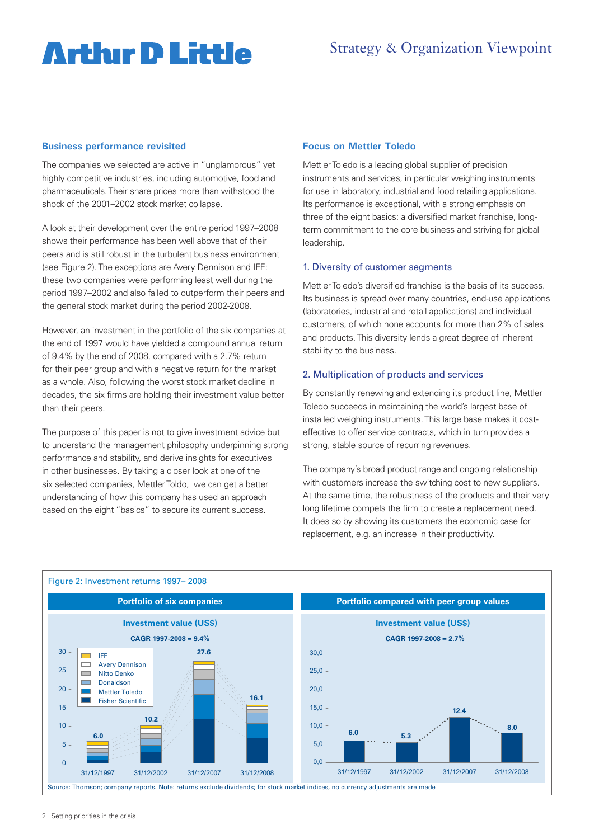# **Arthir D Little**

### **Business performance revisited**

The companies we selected are active in "unglamorous" yet highly competitive industries, including automotive, food and pharmaceuticals. Their share prices more than withstood the shock of the 2001–2002 stock market collapse.

A look at their development over the entire period 1997–2008 shows their performance has been well above that of their peers and is still robust in the turbulent business environment (see Figure 2). The exceptions are Avery Dennison and IFF: these two companies were performing least well during the period 1997–2002 and also failed to outperform their peers and the general stock market during the period 2002-2008.

However, an investment in the portfolio of the six companies at the end of 1997 would have yielded a compound annual return of 9.4% by the end of 2008, compared with a 2.7% return for their peer group and with a negative return for the market as a whole. Also, following the worst stock market decline in decades, the six firms are holding their investment value better than their peers.

The purpose of this paper is not to give investment advice but to understand the management philosophy underpinning strong performance and stability, and derive insights for executives in other businesses. By taking a closer look at one of the six selected companies, Mettler Toldo, we can get a better understanding of how this company has used an approach **Fig2** based on the eight "basics" to secure its current success.

### **Focus on Mettler Toledo**

Mettler Toledo is a leading global supplier of precision instruments and services, in particular weighing instruments for use in laboratory, industrial and food retailing applications. Its performance is exceptional, with a strong emphasis on three of the eight basics: a diversified market franchise, longterm commitment to the core business and striving for global leadership.

#### 1. Diversity of customer segments

Mettler Toledo's diversified franchise is the basis of its success. Its business is spread over many countries, end-use applications (laboratories, industrial and retail applications) and individual customers, of which none accounts for more than 2% of sales and products. This diversity lends a great degree of inherent stability to the business.

#### 2. Multiplication of products and services

By constantly renewing and extending its product line, Mettler Toledo succeeds in maintaining the world's largest base of installed weighing instruments. This large base makes it costeffective to offer service contracts, which in turn provides a strong, stable source of recurring revenues.

The company's broad product range and ongoing relationship with customers increase the switching cost to new suppliers. At the same time, the robustness of the products and their very long lifetime compels the firm to create a replacement need. It does so by showing its customers the economic case for replacement, e.g. an increase in their productivity.

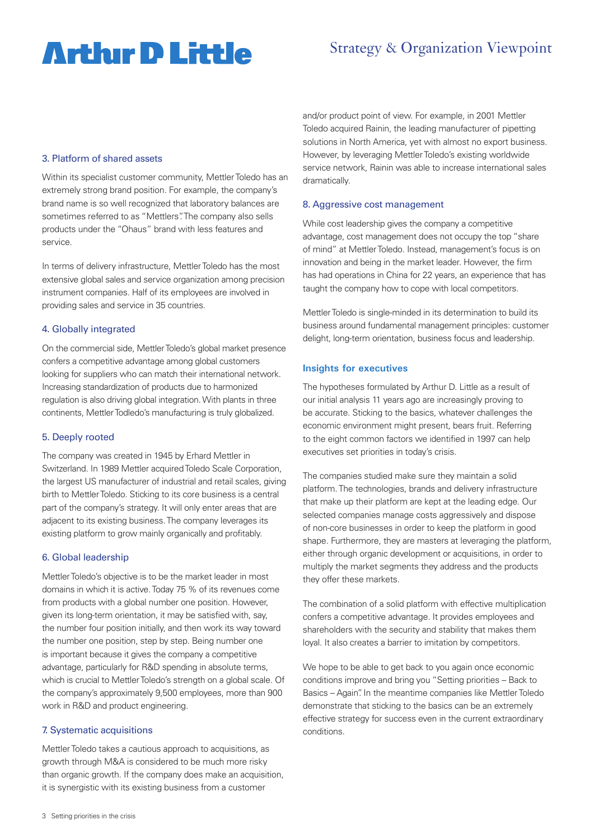# **Arthur D Little**

## Strategy & Organization Viewpoint

#### 3. Platform of shared assets

Within its specialist customer community, Mettler Toledo has an extremely strong brand position. For example, the company's brand name is so well recognized that laboratory balances are sometimes referred to as "Mettlers". The company also sells products under the "Ohaus" brand with less features and service.

In terms of delivery infrastructure, Mettler Toledo has the most extensive global sales and service organization among precision instrument companies. Half of its employees are involved in providing sales and service in 35 countries.

#### 4. Globally integrated

On the commercial side, Mettler Toledo's global market presence confers a competitive advantage among global customers looking for suppliers who can match their international network. Increasing standardization of products due to harmonized regulation is also driving global integration. With plants in three continents, Mettler Todledo's manufacturing is truly globalized.

#### 5. Deeply rooted

The company was created in 1945 by Erhard Mettler in Switzerland. In 1989 Mettler acquired Toledo Scale Corporation, the largest US manufacturer of industrial and retail scales, giving birth to Mettler Toledo. Sticking to its core business is a central part of the company's strategy. It will only enter areas that are adjacent to its existing business. The company leverages its existing platform to grow mainly organically and profitably.

#### 6. Global leadership

Mettler Toledo's objective is to be the market leader in most domains in which it is active. Today 75 % of its revenues come from products with a global number one position. However, given its long-term orientation, it may be satisfied with, say, the number four position initially, and then work its way toward the number one position, step by step. Being number one is important because it gives the company a competitive advantage, particularly for R&D spending in absolute terms, which is crucial to Mettler Toledo's strength on a global scale. Of the company's approximately 9,500 employees, more than 900 work in R&D and product engineering.

#### 7. Systematic acquisitions

Mettler Toledo takes a cautious approach to acquisitions, as growth through M&A is considered to be much more risky than organic growth. If the company does make an acquisition, it is synergistic with its existing business from a customer

and/or product point of view. For example, in 2001 Mettler Toledo acquired Rainin, the leading manufacturer of pipetting solutions in North America, yet with almost no export business. However, by leveraging Mettler Toledo's existing worldwide service network, Rainin was able to increase international sales dramatically.

#### 8. Aggressive cost management

While cost leadership gives the company a competitive advantage, cost management does not occupy the top "share of mind" at Mettler Toledo. Instead, management's focus is on innovation and being in the market leader. However, the firm has had operations in China for 22 years, an experience that has taught the company how to cope with local competitors.

Mettler Toledo is single-minded in its determination to build its business around fundamental management principles: customer delight, long-term orientation, business focus and leadership.

#### **Insights for executives**

The hypotheses formulated by Arthur D. Little as a result of our initial analysis 11 years ago are increasingly proving to be accurate. Sticking to the basics, whatever challenges the economic environment might present, bears fruit. Referring to the eight common factors we identified in 1997 can help executives set priorities in today's crisis.

The companies studied make sure they maintain a solid platform. The technologies, brands and delivery infrastructure that make up their platform are kept at the leading edge. Our selected companies manage costs aggressively and dispose of non-core businesses in order to keep the platform in good shape. Furthermore, they are masters at leveraging the platform, either through organic development or acquisitions, in order to multiply the market segments they address and the products they offer these markets.

The combination of a solid platform with effective multiplication confers a competitive advantage. It provides employees and shareholders with the security and stability that makes them loyal. It also creates a barrier to imitation by competitors.

We hope to be able to get back to you again once economic conditions improve and bring you "Setting priorities – Back to Basics – Again". In the meantime companies like Mettler Toledo demonstrate that sticking to the basics can be an extremely effective strategy for success even in the current extraordinary conditions.